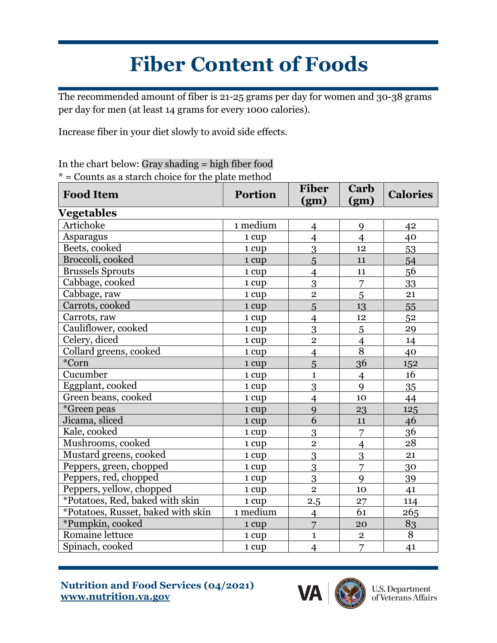## **Fiber Content of Foods**

The recommended amount of fiber is 21-25 grams per day for women and 30-38 grams per day for men (at least 14 grams for every 1000 calories).

Increase fiber in your diet slowly to avoid side effects.

| In the chart below: Gray shading $=$ high fiber food |  |  |  |  |
|------------------------------------------------------|--|--|--|--|
| $*$ = Counts as a starch choice for the plate method |  |  |  |  |
|                                                      |  |  |  |  |

| <b>Food Item</b>                   | <b>Portion</b> | <b>Fiber</b><br>(gm)     | Carb<br>(gm)   | <b>Calories</b> |
|------------------------------------|----------------|--------------------------|----------------|-----------------|
| Vegetables                         |                |                          |                |                 |
| Artichoke                          | 1 medium       | $\overline{4}$           | 9              | 42              |
| Asparagus                          | 1 cup          | $\overline{\mathcal{A}}$ | $\overline{4}$ | 40              |
| Beets, cooked                      | 1 cup          | 3                        | 12             | 53              |
| Broccoli, cooked                   | 1 cup          | 5                        | 11             | 54              |
| <b>Brussels Sprouts</b>            | 1 cup          | $\overline{4}$           | 11             | 56              |
| Cabbage, cooked                    | 1 cup          | 3                        | 7              | 33              |
| Cabbage, raw                       | 1 cup          | $\overline{2}$           | $\overline{5}$ | 21              |
| Carrots, cooked                    | 1 cup          | 5                        | 13             | 55              |
| Carrots, raw                       | 1 cup          | 4                        | 12             | 52              |
| Cauliflower, cooked                | 1 cup          | 3                        | $\overline{5}$ | 29              |
| Celery, diced                      | 1 cup          | $\overline{2}$           | $\overline{4}$ | 14              |
| Collard greens, cooked             | 1 cup          | $\overline{\mathcal{L}}$ | $\overline{8}$ | 40              |
| *Corn                              | 1 cup          | 5                        | 36             | 152             |
| Cucumber                           | 1 cup          | $\mathbf{1}$             | $\overline{4}$ | 16              |
| Eggplant, cooked                   | 1 cup          | $\overline{3}$           | 9              | 35              |
| Green beans, cooked                | 1 cup          | $\overline{4}$           | 10             | 44              |
| <i>*</i> Green peas                | 1 cup          | 9                        | 23             | 125             |
| Jicama, sliced                     | 1 cup          | 6                        | 11             | 46              |
| Kale, cooked                       | 1 cup          | 3                        | 7              | 36              |
| Mushrooms, cooked                  | 1 cup          | $\overline{2}$           | $\overline{4}$ | 28              |
| Mustard greens, cooked             | 1 cup          | 3                        | 3              | 21              |
| Peppers, green, chopped            | 1 cup          | 3                        | $\overline{7}$ | 30              |
| Peppers, red, chopped              | 1 cup          | 3                        | 9              | 39              |
| Peppers, yellow, chopped           | 1 cup          | $\overline{2}$           | 10             | 41              |
| *Potatoes, Red, baked with skin    | 1 cup          | 2.5                      | 27             | 114             |
| *Potatoes, Russet, baked with skin | 1 medium       | $\overline{4}$           | 61             | 265             |
| *Pumpkin, cooked                   | 1 cup          | $\overline{7}$           | 20             | 83              |
| Romaine lettuce                    | 1 cup          | $\mathbf{1}$             | $\overline{2}$ | 8               |
| Spinach, cooked                    | 1 cup          | $\overline{4}$           | 7              | 41              |

**Nutrition and Food Services (04/2021) www.nutrition.va.gov**

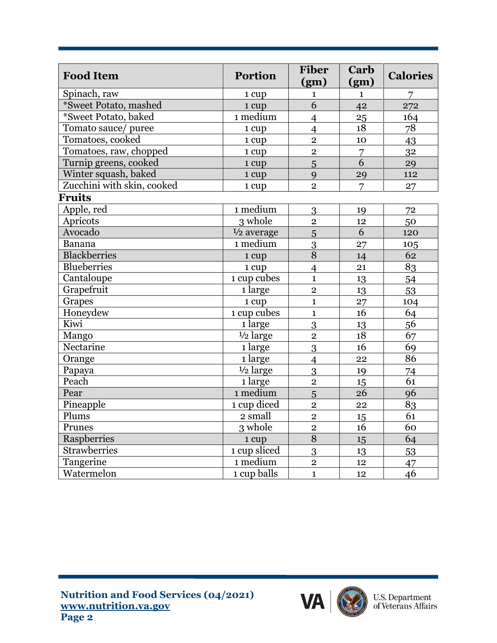| <b>Food Item</b>           | <b>Portion</b> | <b>Fiber</b><br>(gm) | Carb<br>(gm)   | <b>Calories</b> |
|----------------------------|----------------|----------------------|----------------|-----------------|
| Spinach, raw               | 1 cup          | $\mathbf{1}$         | $\mathbf{1}$   | 7               |
| *Sweet Potato, mashed      | 1 cup          | $\overline{6}$       | 42             | 272             |
| *Sweet Potato, baked       | 1 medium       | $\overline{4}$       | 25             | 164             |
| Tomato sauce/ puree        | 1 cup          | $\overline{4}$       | 18             | 78              |
| Tomatoes, cooked           | 1 cup          | $\overline{2}$       | 10             | 43              |
| Tomatoes, raw, chopped     | 1 cup          | $\overline{2}$       | 7              | 32              |
| Turnip greens, cooked      | 1 cup          | 5                    | $\overline{6}$ | 29              |
| Winter squash, baked       | 1 cup          | 9                    | 29             | 112             |
| Zucchini with skin, cooked | 1 cup          | $\overline{2}$       | 7              | 27              |
| Fruits                     |                |                      |                |                 |
| Apple, red                 | 1 medium       | 3                    | 19             | 72              |
| Apricots                   | 3 whole        | $\overline{2}$       | 12             | 50              |
| Avocado                    | $1/2$ average  | $\overline{5}$       | 6              | 120             |
| Banana                     | $1$ medium     | $\overline{3}$       | 27             | 105             |
| <b>Blackberries</b>        | 1 cup          | $\overline{8}$       | 14             | 62              |
| <b>Blueberries</b>         | 1 cup          | $\overline{4}$       | 21             | 83              |
| Cantaloupe                 | 1 cup cubes    | $\mathbf{1}$         | 13             | 54              |
| Grapefruit                 | 1 large        | $\overline{2}$       | 13             | 53              |
| Grapes                     | 1 cup          | $\mathbf{1}$         | 27             | 104             |
| Honeydew                   | 1 cup cubes    | $\mathbf{1}$         | 16             | 64              |
| Kiwi                       | 1 large        | 3                    | 13             | 56              |
| Mango                      | $1/2$ large    | $\overline{2}$       | 18             | 67              |
| Nectarine                  | 1 large        | 3                    | 16             | 69              |
| Orange                     | 1 large        | $\overline{4}$       | 22             | 86              |
| Papaya                     | $1/2$ large    | 3                    | 19             | 74              |
| Peach                      | 1 large        | $\overline{2}$       | 15             | 61              |
| Pear                       | 1 medium       | 5                    | 26             | 96              |
| Pineapple                  | 1 cup diced    | $\overline{2}$       | 22             | 83              |
| Plums                      | 2 small        | $\overline{2}$       | 15             | 61              |
| Prunes                     | 3 whole        | $\overline{2}$       | 16             | 60              |
| Raspberries                | 1 cup          | $\overline{8}$       | 15             | 64              |
| <b>Strawberries</b>        | 1 cup sliced   | 3                    | 13             | 53              |
| Tangerine                  | 1 medium       | $\overline{2}$       | 12             | 47              |
| Watermelon                 | 1 cup balls    | $\mathbf{1}$         | 12             | 46              |



U.S. Department<br>of Veterans Affairs